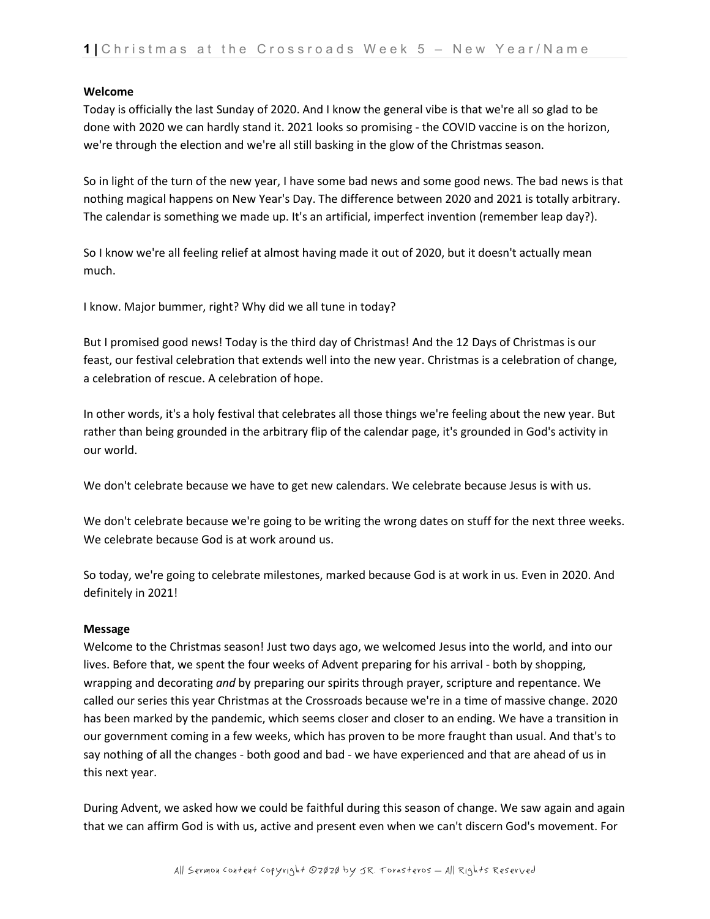# **Welcome**

Today is officially the last Sunday of 2020. And I know the general vibe is that we're all so glad to be done with 2020 we can hardly stand it. 2021 looks so promising - the COVID vaccine is on the horizon, we're through the election and we're all still basking in the glow of the Christmas season.

So in light of the turn of the new year, I have some bad news and some good news. The bad news is that nothing magical happens on New Year's Day. The difference between 2020 and 2021 is totally arbitrary. The calendar is something we made up. It's an artificial, imperfect invention (remember leap day?).

So I know we're all feeling relief at almost having made it out of 2020, but it doesn't actually mean much.

I know. Major bummer, right? Why did we all tune in today?

But I promised good news! Today is the third day of Christmas! And the 12 Days of Christmas is our feast, our festival celebration that extends well into the new year. Christmas is a celebration of change, a celebration of rescue. A celebration of hope.

In other words, it's a holy festival that celebrates all those things we're feeling about the new year. But rather than being grounded in the arbitrary flip of the calendar page, it's grounded in God's activity in our world.

We don't celebrate because we have to get new calendars. We celebrate because Jesus is with us.

We don't celebrate because we're going to be writing the wrong dates on stuff for the next three weeks. We celebrate because God is at work around us.

So today, we're going to celebrate milestones, marked because God is at work in us. Even in 2020. And definitely in 2021!

#### **Message**

Welcome to the Christmas season! Just two days ago, we welcomed Jesus into the world, and into our lives. Before that, we spent the four weeks of Advent preparing for his arrival - both by shopping, wrapping and decorating *and* by preparing our spirits through prayer, scripture and repentance. We called our series this year Christmas at the Crossroads because we're in a time of massive change. 2020 has been marked by the pandemic, which seems closer and closer to an ending. We have a transition in our government coming in a few weeks, which has proven to be more fraught than usual. And that's to say nothing of all the changes - both good and bad - we have experienced and that are ahead of us in this next year.

During Advent, we asked how we could be faithful during this season of change. We saw again and again that we can affirm God is with us, active and present even when we can't discern God's movement. For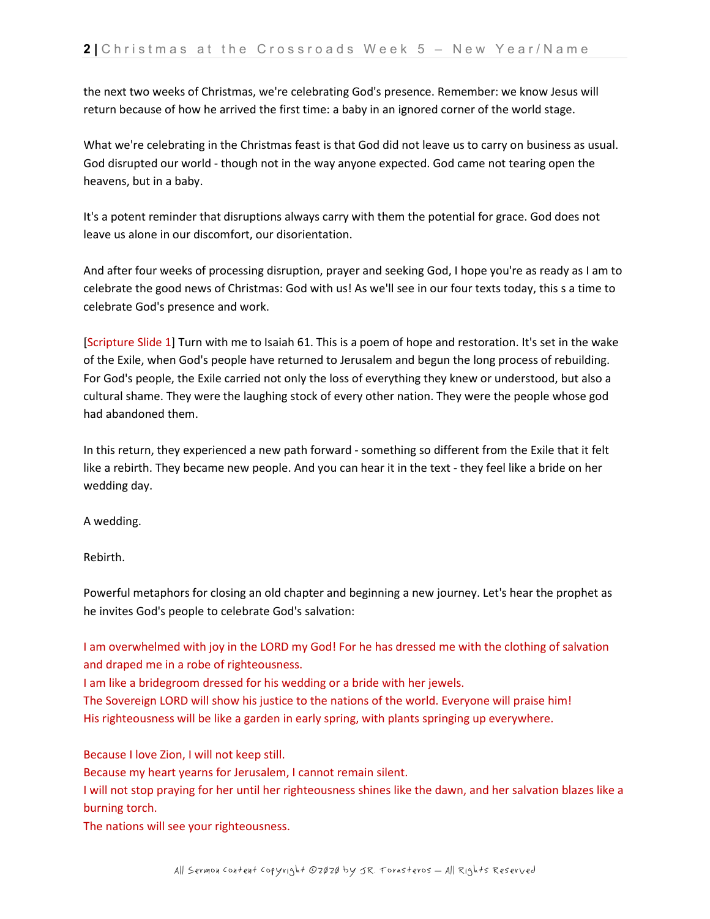the next two weeks of Christmas, we're celebrating God's presence. Remember: we know Jesus will return because of how he arrived the first time: a baby in an ignored corner of the world stage.

What we're celebrating in the Christmas feast is that God did not leave us to carry on business as usual. God disrupted our world - though not in the way anyone expected. God came not tearing open the heavens, but in a baby.

It's a potent reminder that disruptions always carry with them the potential for grace. God does not leave us alone in our discomfort, our disorientation.

And after four weeks of processing disruption, prayer and seeking God, I hope you're as ready as I am to celebrate the good news of Christmas: God with us! As we'll see in our four texts today, this s a time to celebrate God's presence and work.

[Scripture Slide 1] Turn with me to Isaiah 61. This is a poem of hope and restoration. It's set in the wake of the Exile, when God's people have returned to Jerusalem and begun the long process of rebuilding. For God's people, the Exile carried not only the loss of everything they knew or understood, but also a cultural shame. They were the laughing stock of every other nation. They were the people whose god had abandoned them.

In this return, they experienced a new path forward - something so different from the Exile that it felt like a rebirth. They became new people. And you can hear it in the text - they feel like a bride on her wedding day.

A wedding.

Rebirth.

Powerful metaphors for closing an old chapter and beginning a new journey. Let's hear the prophet as he invites God's people to celebrate God's salvation:

I am overwhelmed with joy in the LORD my God! For he has dressed me with the clothing of salvation and draped me in a robe of righteousness.

I am like a bridegroom dressed for his wedding or a bride with her jewels.

The Sovereign LORD will show his justice to the nations of the world. Everyone will praise him! His righteousness will be like a garden in early spring, with plants springing up everywhere.

Because I love Zion, I will not keep still.

Because my heart yearns for Jerusalem, I cannot remain silent.

I will not stop praying for her until her righteousness shines like the dawn, and her salvation blazes like a burning torch.

The nations will see your righteousness.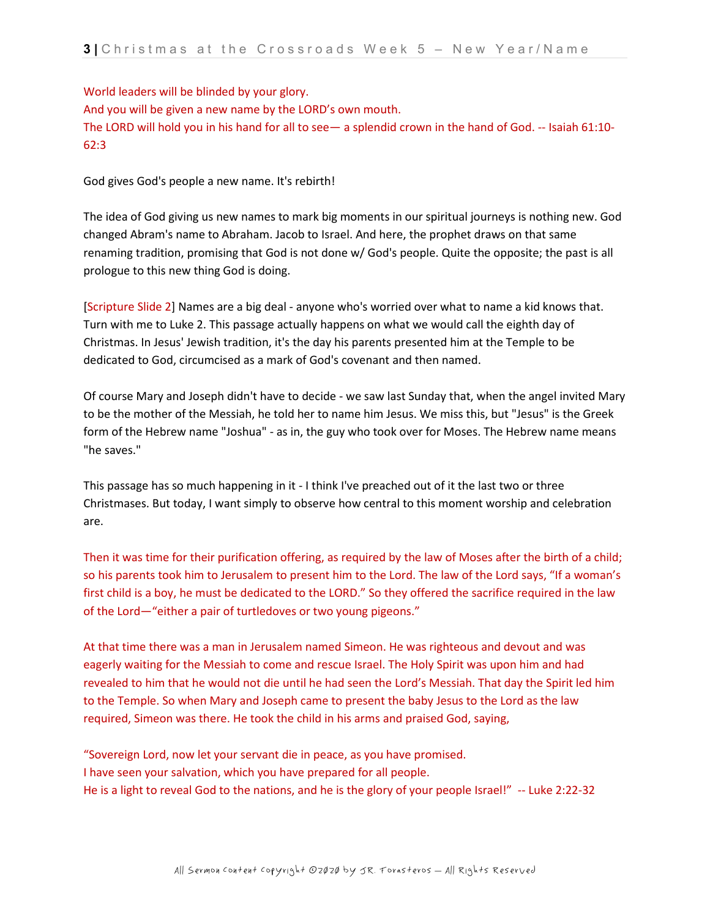# World leaders will be blinded by your glory. And you will be given a new name by the LORD's own mouth. The LORD will hold you in his hand for all to see— a splendid crown in the hand of God. -- Isaiah 61:10- 62:3

God gives God's people a new name. It's rebirth!

The idea of God giving us new names to mark big moments in our spiritual journeys is nothing new. God changed Abram's name to Abraham. Jacob to Israel. And here, the prophet draws on that same renaming tradition, promising that God is not done w/ God's people. Quite the opposite; the past is all prologue to this new thing God is doing.

[Scripture Slide 2] Names are a big deal - anyone who's worried over what to name a kid knows that. Turn with me to Luke 2. This passage actually happens on what we would call the eighth day of Christmas. In Jesus' Jewish tradition, it's the day his parents presented him at the Temple to be dedicated to God, circumcised as a mark of God's covenant and then named.

Of course Mary and Joseph didn't have to decide - we saw last Sunday that, when the angel invited Mary to be the mother of the Messiah, he told her to name him Jesus. We miss this, but "Jesus" is the Greek form of the Hebrew name "Joshua" - as in, the guy who took over for Moses. The Hebrew name means "he saves."

This passage has so much happening in it - I think I've preached out of it the last two or three Christmases. But today, I want simply to observe how central to this moment worship and celebration are.

Then it was time for their purification offering, as required by the law of Moses after the birth of a child; so his parents took him to Jerusalem to present him to the Lord. The law of the Lord says, "If a woman's first child is a boy, he must be dedicated to the LORD." So they offered the sacrifice required in the law of the Lord—"either a pair of turtledoves or two young pigeons."

At that time there was a man in Jerusalem named Simeon. He was righteous and devout and was eagerly waiting for the Messiah to come and rescue Israel. The Holy Spirit was upon him and had revealed to him that he would not die until he had seen the Lord's Messiah. That day the Spirit led him to the Temple. So when Mary and Joseph came to present the baby Jesus to the Lord as the law required, Simeon was there. He took the child in his arms and praised God, saying,

"Sovereign Lord, now let your servant die in peace, as you have promised. I have seen your salvation, which you have prepared for all people. He is a light to reveal God to the nations, and he is the glory of your people Israel!" -- Luke 2:22-32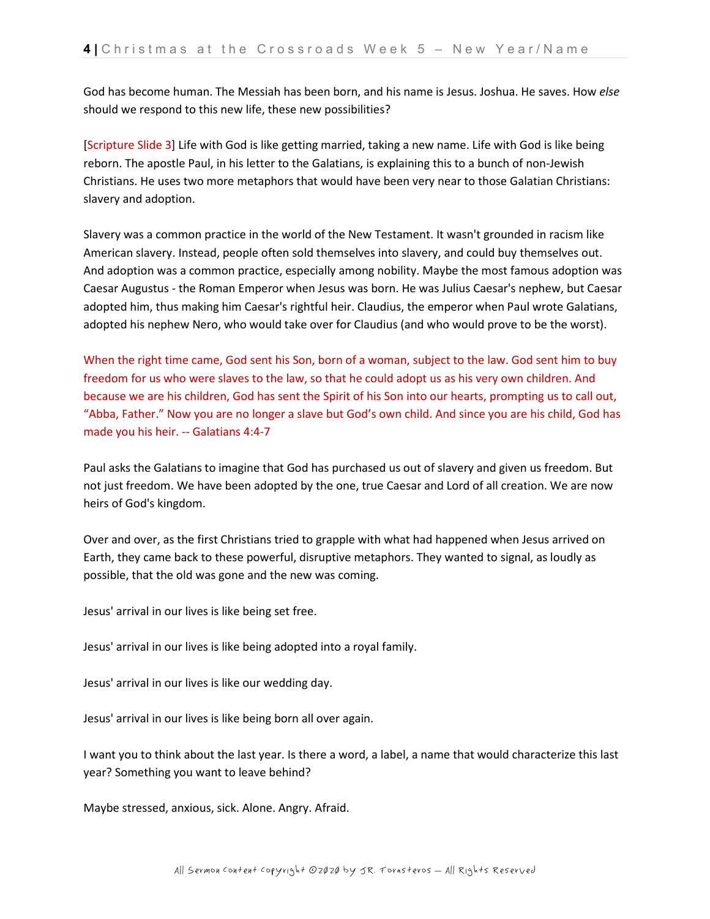God has become human. The Messiah has been born, and his name is Jesus. Joshua. He saves. How *else*  should we respond to this new life, these new possibilities?

[Scripture Slide 3] Life with God is like getting married, taking a new name. Life with God is like being reborn. The apostle Paul, in his letter to the Galatians, is explaining this to a bunch of non-Jewish Christians. He uses two more metaphors that would have been very near to those Galatian Christians: slavery and adoption.

Slavery was a common practice in the world of the New Testament. It wasn't grounded in racism like American slavery. Instead, people often sold themselves into slavery, and could buy themselves out. And adoption was a common practice, especially among nobility. Maybe the most famous adoption was Caesar Augustus - the Roman Emperor when Jesus was born. He was Julius Caesar's nephew, but Caesar adopted him, thus making him Caesar's rightful heir. Claudius, the emperor when Paul wrote Galatians, adopted his nephew Nero, who would take over for Claudius (and who would prove to be the worst).

When the right time came, God sent his Son, born of a woman, subject to the law. God sent him to buy freedom for us who were slaves to the law, so that he could adopt us as his very own children. And because we are his children, God has sent the Spirit of his Son into our hearts, prompting us to call out, "Abba, Father." Now you are no longer a slave but God's own child. And since you are his child, God has made you his heir. -- Galatians 4:4-7

Paul asks the Galatians to imagine that God has purchased us out of slavery and given us freedom. But not just freedom. We have been adopted by the one, true Caesar and Lord of all creation. We are now heirs of God's kingdom.

Over and over, as the first Christians tried to grapple with what had happened when Jesus arrived on Earth, they came back to these powerful, disruptive metaphors. They wanted to signal, as loudly as possible, that the old was gone and the new was coming.

Jesus' arrival in our lives is like being set free.

Jesus' arrival in our lives is like being adopted into a royal family.

Jesus' arrival in our lives is like our wedding day.

Jesus' arrival in our lives is like being born all over again.

I want you to think about the last year. Is there a word, a label, a name that would characterize this last year? Something you want to leave behind?

Maybe stressed, anxious, sick. Alone. Angry. Afraid.